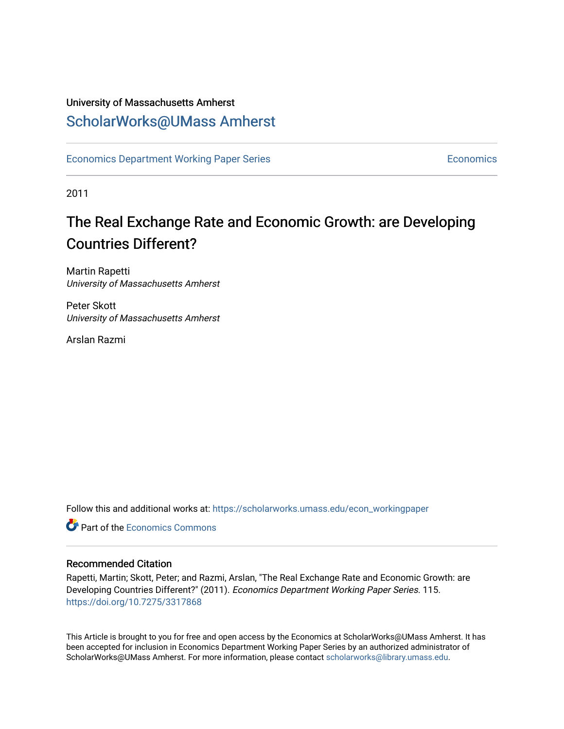### University of Massachusetts Amherst [ScholarWorks@UMass Amherst](https://scholarworks.umass.edu/)

[Economics Department Working Paper Series](https://scholarworks.umass.edu/econ_workingpaper) **Economics** [Economics](https://scholarworks.umass.edu/economics) Economics

2011

## The Real Exchange Rate and Economic Growth: are Developing Countries Different?

Martin Rapetti University of Massachusetts Amherst

Peter Skott University of Massachusetts Amherst

Arslan Razmi

Follow this and additional works at: [https://scholarworks.umass.edu/econ\\_workingpaper](https://scholarworks.umass.edu/econ_workingpaper?utm_source=scholarworks.umass.edu%2Fecon_workingpaper%2F115&utm_medium=PDF&utm_campaign=PDFCoverPages) 

**C** Part of the [Economics Commons](http://network.bepress.com/hgg/discipline/340?utm_source=scholarworks.umass.edu%2Fecon_workingpaper%2F115&utm_medium=PDF&utm_campaign=PDFCoverPages)

#### Recommended Citation

Rapetti, Martin; Skott, Peter; and Razmi, Arslan, "The Real Exchange Rate and Economic Growth: are Developing Countries Different?" (2011). Economics Department Working Paper Series. 115. <https://doi.org/10.7275/3317868>

This Article is brought to you for free and open access by the Economics at ScholarWorks@UMass Amherst. It has been accepted for inclusion in Economics Department Working Paper Series by an authorized administrator of ScholarWorks@UMass Amherst. For more information, please contact [scholarworks@library.umass.edu.](mailto:scholarworks@library.umass.edu)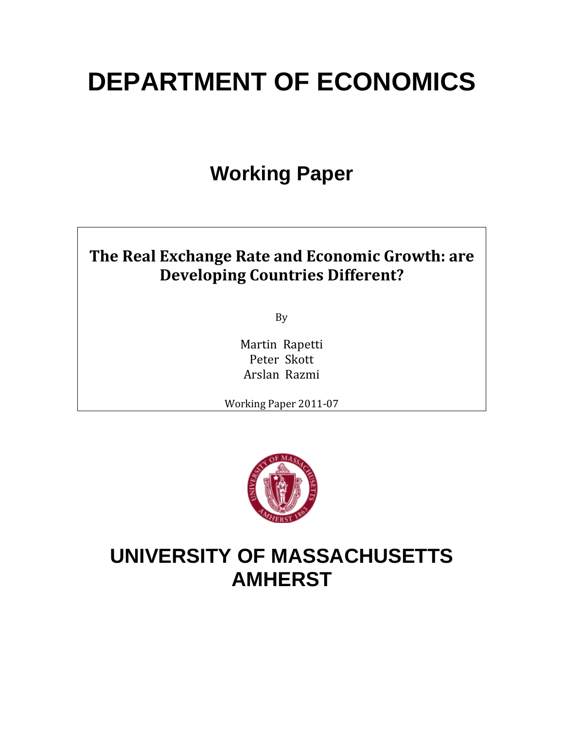# **DEPARTMENT OF ECONOMICS**

## **Working Paper**

## **The Real Exchange Rate and Economic Growth: are Developing Countries Different?**

By

Martin Rapetti Peter Skott Arslan Razmi

Working Paper 2011‐07



## **UNIVERSITY OF MASSACHUSETTS AMHERST**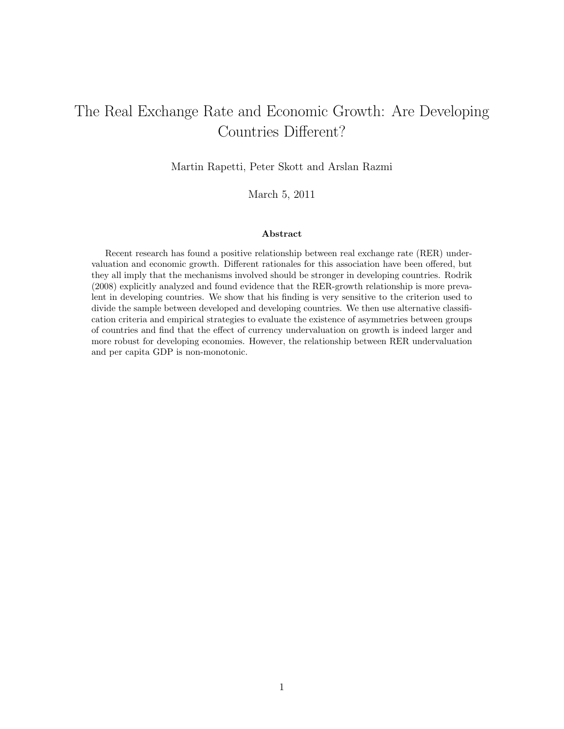## The Real Exchange Rate and Economic Growth: Are Developing Countries Different?

Martin Rapetti, Peter Skott and Arslan Razmi

March 5, 2011

#### Abstract

Recent research has found a positive relationship between real exchange rate (RER) undervaluation and economic growth. Different rationales for this association have been offered, but they all imply that the mechanisms involved should be stronger in developing countries. Rodrik (2008) explicitly analyzed and found evidence that the RER-growth relationship is more prevalent in developing countries. We show that his finding is very sensitive to the criterion used to divide the sample between developed and developing countries. We then use alternative classification criteria and empirical strategies to evaluate the existence of asymmetries between groups of countries and find that the effect of currency undervaluation on growth is indeed larger and more robust for developing economies. However, the relationship between RER undervaluation and per capita GDP is non-monotonic.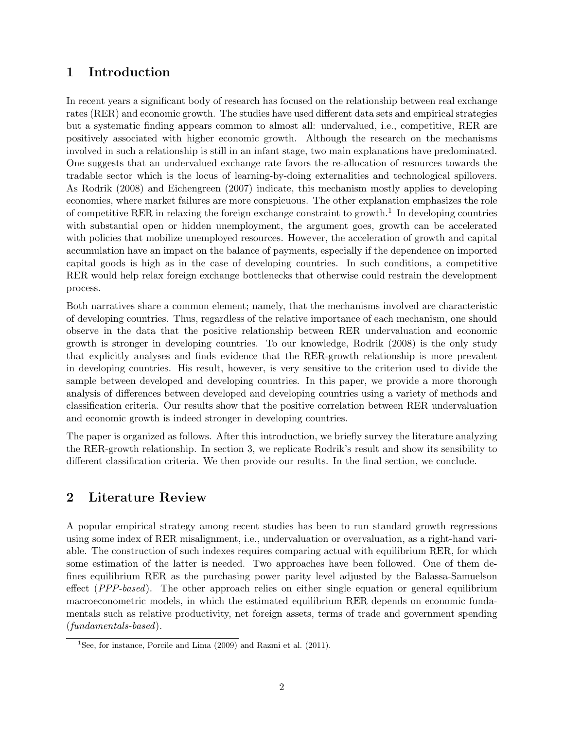#### 1 Introduction

In recent years a significant body of research has focused on the relationship between real exchange rates (RER) and economic growth. The studies have used different data sets and empirical strategies but a systematic finding appears common to almost all: undervalued, i.e., competitive, RER are positively associated with higher economic growth. Although the research on the mechanisms involved in such a relationship is still in an infant stage, two main explanations have predominated. One suggests that an undervalued exchange rate favors the re-allocation of resources towards the tradable sector which is the locus of learning-by-doing externalities and technological spillovers. As Rodrik (2008) and Eichengreen (2007) indicate, this mechanism mostly applies to developing economies, where market failures are more conspicuous. The other explanation emphasizes the role of competitive RER in relaxing the foreign exchange constraint to growth.<sup>1</sup> In developing countries with substantial open or hidden unemployment, the argument goes, growth can be accelerated with policies that mobilize unemployed resources. However, the acceleration of growth and capital accumulation have an impact on the balance of payments, especially if the dependence on imported capital goods is high as in the case of developing countries. In such conditions, a competitive RER would help relax foreign exchange bottlenecks that otherwise could restrain the development process.

Both narratives share a common element; namely, that the mechanisms involved are characteristic of developing countries. Thus, regardless of the relative importance of each mechanism, one should observe in the data that the positive relationship between RER undervaluation and economic growth is stronger in developing countries. To our knowledge, Rodrik (2008) is the only study that explicitly analyses and finds evidence that the RER-growth relationship is more prevalent in developing countries. His result, however, is very sensitive to the criterion used to divide the sample between developed and developing countries. In this paper, we provide a more thorough analysis of differences between developed and developing countries using a variety of methods and classification criteria. Our results show that the positive correlation between RER undervaluation and economic growth is indeed stronger in developing countries.

The paper is organized as follows. After this introduction, we briefly survey the literature analyzing the RER-growth relationship. In section 3, we replicate Rodrik's result and show its sensibility to different classification criteria. We then provide our results. In the final section, we conclude.

### 2 Literature Review

A popular empirical strategy among recent studies has been to run standard growth regressions using some index of RER misalignment, i.e., undervaluation or overvaluation, as a right-hand variable. The construction of such indexes requires comparing actual with equilibrium RER, for which some estimation of the latter is needed. Two approaches have been followed. One of them defines equilibrium RER as the purchasing power parity level adjusted by the Balassa-Samuelson effect (PPP-based). The other approach relies on either single equation or general equilibrium macroeconometric models, in which the estimated equilibrium RER depends on economic fundamentals such as relative productivity, net foreign assets, terms of trade and government spending (fundamentals-based).

<sup>&</sup>lt;sup>1</sup>See, for instance, Porcile and Lima  $(2009)$  and Razmi et al.  $(2011)$ .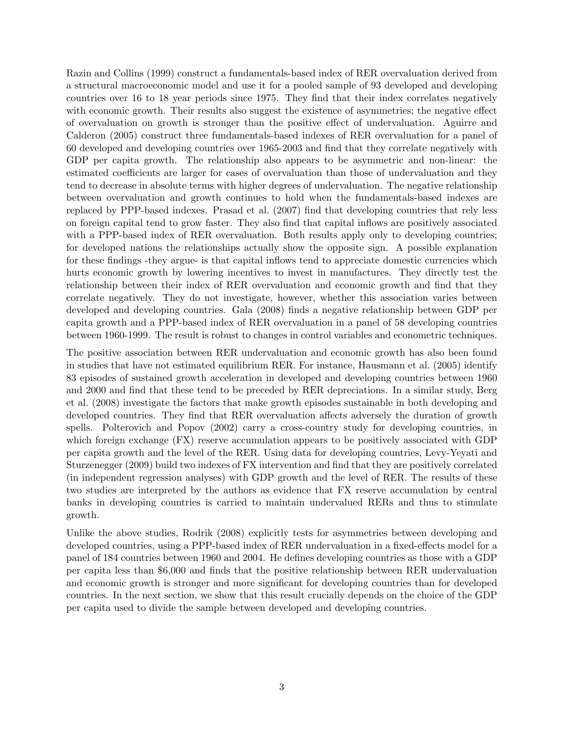Razin and Collins (1999) construct a fundamentals-based index of RER overvaluation derived from a structural macroeconomic model and use it for a pooled sample of 93 developed and developing countries over 16 to 18 year periods since 1975. They find that their index correlates negatively with economic growth. Their results also suggest the existence of asymmetries; the negative effect of overvaluation on growth is stronger than the positive effect of undervaluation. Aguirre and Calderon (2005) construct three fundamentals-based indexes of RER overvaluation for a panel of 60 developed and developing countries over 1965-2003 and find that they correlate negatively with GDP per capita growth. The relationship also appears to be asymmetric and non-linear: the estimated coefficients are larger for cases of overvaluation than those of undervaluation and they tend to decrease in absolute terms with higher degrees of undervaluation. The negative relationship between overvaluation and growth continues to hold when the fundamentals-based indexes are replaced by PPP-based indexes. Prasad et al. (2007) find that developing countries that rely less on foreign capital tend to grow faster. They also find that capital inflows are positively associated with a PPP-based index of RER overvaluation. Both results apply only to developing countries; for developed nations the relationships actually show the opposite sign. A possible explanation for these findings -they argue- is that capital inflows tend to appreciate domestic currencies which hurts economic growth by lowering incentives to invest in manufactures. They directly test the relationship between their index of RER overvaluation and economic growth and find that they correlate negatively. They do not investigate, however, whether this association varies between developed and developing countries. Gala (2008) finds a negative relationship between GDP per capita growth and a PPP-based index of RER overvaluation in a panel of 58 developing countries between 1960-1999. The result is robust to changes in control variables and econometric techniques.

The positive association between RER undervaluation and economic growth has also been found in studies that have not estimated equilibrium RER. For instance, Hausmann et al. (2005) identify 83 episodes of sustained growth acceleration in developed and developing countries between 1960 and 2000 and find that these tend to be preceded by RER depreciations. In a similar study, Berg et al. (2008) investigate the factors that make growth episodes sustainable in both developing and developed countries. They find that RER overvaluation affects adversely the duration of growth spells. Polterovich and Popov (2002) carry a cross-country study for developing countries, in which foreign exchange (FX) reserve accumulation appears to be positively associated with GDP per capita growth and the level of the RER. Using data for developing countries, Levy-Yeyati and Sturzenegger (2009) build two indexes of FX intervention and find that they are positively correlated (in independent regression analyses) with GDP growth and the level of RER. The results of these two studies are interpreted by the authors as evidence that FX reserve accumulation by central banks in developing countries is carried to maintain undervalued RERs and thus to stimulate growth.

Unlike the above studies, Rodrik (2008) explicitly tests for asymmetries between developing and developed countries, using a PPP-based index of RER undervaluation in a fixed-effects model for a panel of 184 countries between 1960 and 2004. He defines developing countries as those with a GDP per capita less than \$6,000 and finds that the positive relationship between RER undervaluation and economic growth is stronger and more significant for developing countries than for developed countries. In the next section, we show that this result crucially depends on the choice of the GDP per capita used to divide the sample between developed and developing countries.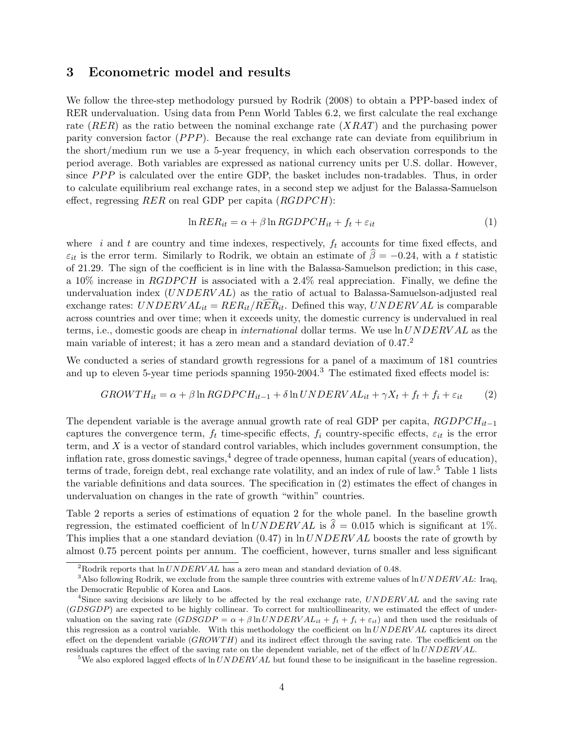#### 3 Econometric model and results

We follow the three-step methodology pursued by Rodrik (2008) to obtain a PPP-based index of RER undervaluation. Using data from Penn World Tables 6.2, we first calculate the real exchange rate  $(RER)$  as the ratio between the nominal exchange rate  $(XRAT)$  and the purchasing power parity conversion factor  $(PPP)$ . Because the real exchange rate can deviate from equilibrium in the short/medium run we use a 5-year frequency, in which each observation corresponds to the period average. Both variables are expressed as national currency units per U.S. dollar. However, since  $PPP$  is calculated over the entire GDP, the basket includes non-tradables. Thus, in order to calculate equilibrium real exchange rates, in a second step we adjust for the Balassa-Samuelson effect, regressing  $RER$  on real GDP per capita  $(RGDPCH)$ :

$$
\ln RER_{it} = \alpha + \beta \ln RGDPCH_{it} + f_t + \varepsilon_{it} \tag{1}
$$

where i and t are country and time indexes, respectively,  $f_t$  accounts for time fixed effects, and  $\varepsilon_{it}$  is the error term. Similarly to Rodrik, we obtain an estimate of  $\hat{\beta} = -0.24$ , with a t statistic of 21.29. The sign of the coefficient is in line with the Balassa-Samuelson prediction; in this case, a 10% increase in  $RGDPCH$  is associated with a 2.4% real appreciation. Finally, we define the undervaluation index  $(UNDERVAL)$  as the ratio of actual to Balassa-Samuelson-adjusted real exchange rates:  $UNDERVAL_{it} = RER_{it}/RER_{it}$ . Defined this way,  $UNDERVAL$  is comparable across countries and over time; when it exceeds unity, the domestic currency is undervalued in real terms, i.e., domestic goods are cheap in international dollar terms. We use ln UNDERV AL as the main variable of interest; it has a zero mean and a standard deviation of 0.47.<sup>2</sup>

We conducted a series of standard growth regressions for a panel of a maximum of 181 countries and up to eleven 5-year time periods spanning 1950-2004.<sup>3</sup> The estimated fixed effects model is:

$$
GROWTH_{it} = \alpha + \beta \ln RGDPCH_{it-1} + \delta \ln UNDERVAL_{it} + \gamma X_t + f_t + f_i + \varepsilon_{it} \tag{2}
$$

The dependent variable is the average annual growth rate of real GDP per capita,  $RGDPCH_{it-1}$ captures the convergence term,  $f_t$  time-specific effects,  $f_i$  country-specific effects,  $\varepsilon_{it}$  is the error term, and  $X$  is a vector of standard control variables, which includes government consumption, the inflation rate, gross domestic savings,  $4$  degree of trade openness, human capital (years of education). terms of trade, foreign debt, real exchange rate volatility, and an index of rule of law.<sup>5</sup> Table 1 lists the variable definitions and data sources. The specification in (2) estimates the effect of changes in undervaluation on changes in the rate of growth "within" countries.

Table 2 reports a series of estimations of equation 2 for the whole panel. In the baseline growth regression, the estimated coefficient of  $\ln UNDERVAL$  is  $\delta = 0.015$  which is significant at 1%. This implies that a one standard deviation  $(0.47)$  in  $\ln UNDERVAL$  boosts the rate of growth by almost 0.75 percent points per annum. The coefficient, however, turns smaller and less significant

<sup>&</sup>lt;sup>2</sup>Rodrik reports that  $\ln UNDERVAL$  has a zero mean and standard deviation of 0.48.

<sup>&</sup>lt;sup>3</sup>Also following Rodrik, we exclude from the sample three countries with extreme values of  $\ln UNDERVAL$ : Iraq, the Democratic Republic of Korea and Laos.

<sup>&</sup>lt;sup>4</sup>Since saving decisions are likely to be affected by the real exchange rate,  $UNDERVAL$  and the saving rate (GDSGDP) are expected to be highly collinear. To correct for multicollinearity, we estimated the effect of undervaluation on the saving rate  $(GDSGDP = \alpha + \beta \ln UNDERVAL_{it} + f_t + f_i + \varepsilon_{it})$  and then used the residuals of this regression as a control variable. With this methodology the coefficient on  $ln UNDERVAL$  captures its direct effect on the dependent variable  $(GROW TH)$  and its indirect effect through the saving rate. The coefficient on the residuals captures the effect of the saving rate on the dependent variable, net of the effect of  $\ln UNDERVAL$ .

<sup>&</sup>lt;sup>5</sup>We also explored lagged effects of  $\ln UNDERVAL$  but found these to be insignificant in the baseline regression.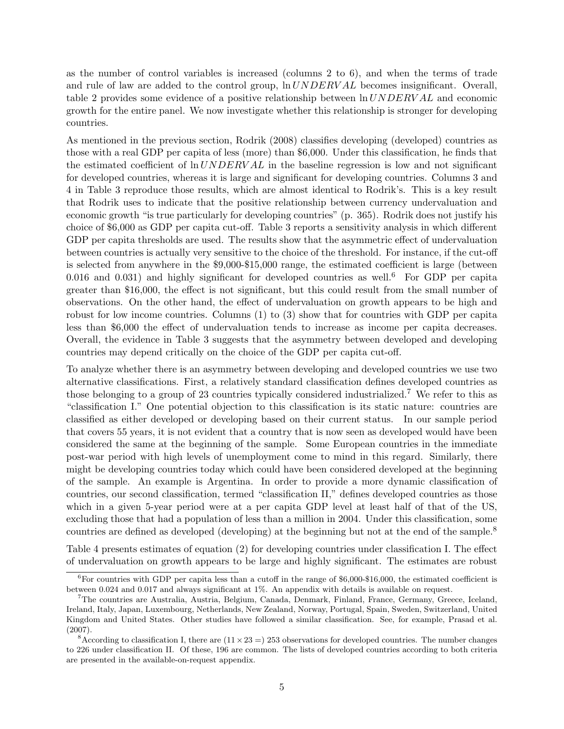as the number of control variables is increased (columns 2 to 6), and when the terms of trade and rule of law are added to the control group,  $\ln UNDERVAL}$  becomes insignificant. Overall, table 2 provides some evidence of a positive relationship between ln UNDERV AL and economic growth for the entire panel. We now investigate whether this relationship is stronger for developing countries.

As mentioned in the previous section, Rodrik (2008) classifies developing (developed) countries as those with a real GDP per capita of less (more) than \$6,000. Under this classification, he finds that the estimated coefficient of  $\ln UNDERVAL$  in the baseline regression is low and not significant for developed countries, whereas it is large and significant for developing countries. Columns 3 and 4 in Table 3 reproduce those results, which are almost identical to Rodrik's. This is a key result that Rodrik uses to indicate that the positive relationship between currency undervaluation and economic growth "is true particularly for developing countries" (p. 365). Rodrik does not justify his choice of \$6,000 as GDP per capita cut-off. Table 3 reports a sensitivity analysis in which different GDP per capita thresholds are used. The results show that the asymmetric effect of undervaluation between countries is actually very sensitive to the choice of the threshold. For instance, if the cut-off is selected from anywhere in the \$9,000-\$15,000 range, the estimated coefficient is large (between 0.016 and 0.031) and highly significant for developed countries as well.<sup>6</sup> For GDP per capita greater than \$16,000, the effect is not significant, but this could result from the small number of observations. On the other hand, the effect of undervaluation on growth appears to be high and robust for low income countries. Columns (1) to (3) show that for countries with GDP per capita less than \$6,000 the effect of undervaluation tends to increase as income per capita decreases. Overall, the evidence in Table 3 suggests that the asymmetry between developed and developing countries may depend critically on the choice of the GDP per capita cut-off.

To analyze whether there is an asymmetry between developing and developed countries we use two alternative classifications. First, a relatively standard classification defines developed countries as those belonging to a group of 23 countries typically considered industrialized.<sup>7</sup> We refer to this as "classification I." One potential objection to this classification is its static nature: countries are classified as either developed or developing based on their current status. In our sample period that covers 55 years, it is not evident that a country that is now seen as developed would have been considered the same at the beginning of the sample. Some European countries in the immediate post-war period with high levels of unemployment come to mind in this regard. Similarly, there might be developing countries today which could have been considered developed at the beginning of the sample. An example is Argentina. In order to provide a more dynamic classification of countries, our second classification, termed "classification II," defines developed countries as those which in a given 5-year period were at a per capita GDP level at least half of that of the US, excluding those that had a population of less than a million in 2004. Under this classification, some countries are defined as developed (developing) at the beginning but not at the end of the sample.<sup>8</sup>

Table 4 presents estimates of equation (2) for developing countries under classification I. The effect of undervaluation on growth appears to be large and highly significant. The estimates are robust

 ${}^{6}$ For countries with GDP per capita less than a cutoff in the range of \$6,000-\$16,000, the estimated coefficient is between 0.024 and 0.017 and always significant at 1%. An appendix with details is available on request.

<sup>7</sup>The countries are Australia, Austria, Belgium, Canada, Denmark, Finland, France, Germany, Greece, Iceland, Ireland, Italy, Japan, Luxembourg, Netherlands, New Zealand, Norway, Portugal, Spain, Sweden, Switzerland, United Kingdom and United States. Other studies have followed a similar classification. See, for example, Prasad et al. (2007).

<sup>&</sup>lt;sup>8</sup>According to classification I, there are  $(11 \times 23 = 253$  observations for developed countries. The number changes to 226 under classification II. Of these, 196 are common. The lists of developed countries according to both criteria are presented in the available-on-request appendix.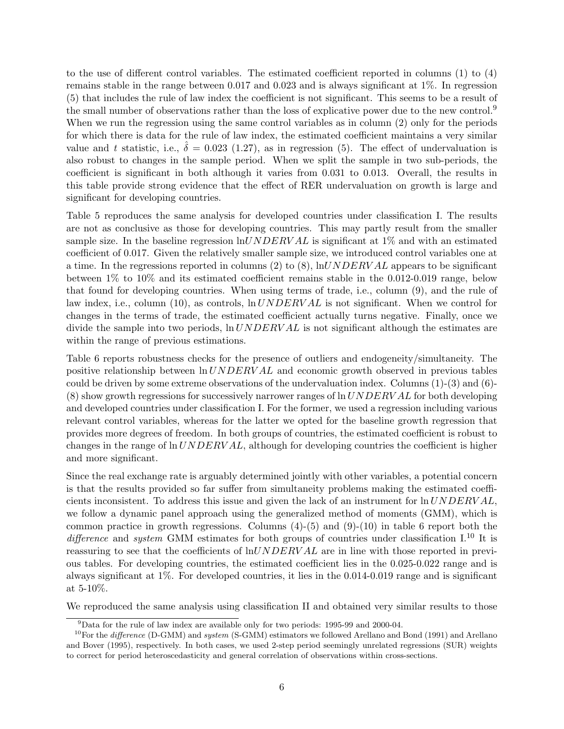to the use of different control variables. The estimated coefficient reported in columns (1) to (4) remains stable in the range between 0.017 and 0.023 and is always significant at 1%. In regression (5) that includes the rule of law index the coefficient is not significant. This seems to be a result of the small number of observations rather than the loss of explicative power due to the new control.<sup>9</sup> When we run the regression using the same control variables as in column (2) only for the periods for which there is data for the rule of law index, the estimated coefficient maintains a very similar value and t statistic, i.e.,  $\hat{\delta} = 0.023$  (1.27), as in regression (5). The effect of undervaluation is also robust to changes in the sample period. When we split the sample in two sub-periods, the coefficient is significant in both although it varies from 0.031 to 0.013. Overall, the results in this table provide strong evidence that the effect of RER undervaluation on growth is large and significant for developing countries.

Table 5 reproduces the same analysis for developed countries under classification I. The results are not as conclusive as those for developing countries. This may partly result from the smaller sample size. In the baseline regression  $ln UNDERVAL$  is significant at 1% and with an estimated coefficient of 0.017. Given the relatively smaller sample size, we introduced control variables one at a time. In the regressions reported in columns (2) to (8),  $\ln UNDERVAL$  appears to be significant between 1% to 10% and its estimated coefficient remains stable in the 0.012-0.019 range, below that found for developing countries. When using terms of trade, i.e., column (9), and the rule of law index, i.e., column (10), as controls,  $\ln UNDERVAL$  is not significant. When we control for changes in the terms of trade, the estimated coefficient actually turns negative. Finally, once we divide the sample into two periods,  $\ln UNDERVAL$  is not significant although the estimates are within the range of previous estimations.

Table 6 reports robustness checks for the presence of outliers and endogeneity/simultaneity. The positive relationship between ln UNDERV AL and economic growth observed in previous tables could be driven by some extreme observations of the undervaluation index. Columns  $(1)-(3)$  and  $(6)$ - $(8)$  show growth regressions for successively narrower ranges of  $\ln UNDERVAL$  for both developing and developed countries under classification I. For the former, we used a regression including various relevant control variables, whereas for the latter we opted for the baseline growth regression that provides more degrees of freedom. In both groups of countries, the estimated coefficient is robust to changes in the range of  $\ln UNDERVAL$ , although for developing countries the coefficient is higher and more significant.

Since the real exchange rate is arguably determined jointly with other variables, a potential concern is that the results provided so far suffer from simultaneity problems making the estimated coefficients inconsistent. To address this issue and given the lack of an instrument for  $\ln UNDERVAL$ , we follow a dynamic panel approach using the generalized method of moments (GMM), which is common practice in growth regressions. Columns  $(4)-(5)$  and  $(9)-(10)$  in table 6 report both the difference and system GMM estimates for both groups of countries under classification  $I^{10}$  It is reassuring to see that the coefficients of  $ln UNDERVAL$  are in line with those reported in previous tables. For developing countries, the estimated coefficient lies in the 0.025-0.022 range and is always significant at 1%. For developed countries, it lies in the 0.014-0.019 range and is significant at 5-10%.

We reproduced the same analysis using classification II and obtained very similar results to those

<sup>9</sup>Data for the rule of law index are available only for two periods: 1995-99 and 2000-04.

<sup>&</sup>lt;sup>10</sup>For the *difference* (D-GMM) and *system* (S-GMM) estimators we followed Arellano and Bond (1991) and Arellano and Bover (1995), respectively. In both cases, we used 2-step period seemingly unrelated regressions (SUR) weights to correct for period heteroscedasticity and general correlation of observations within cross-sections.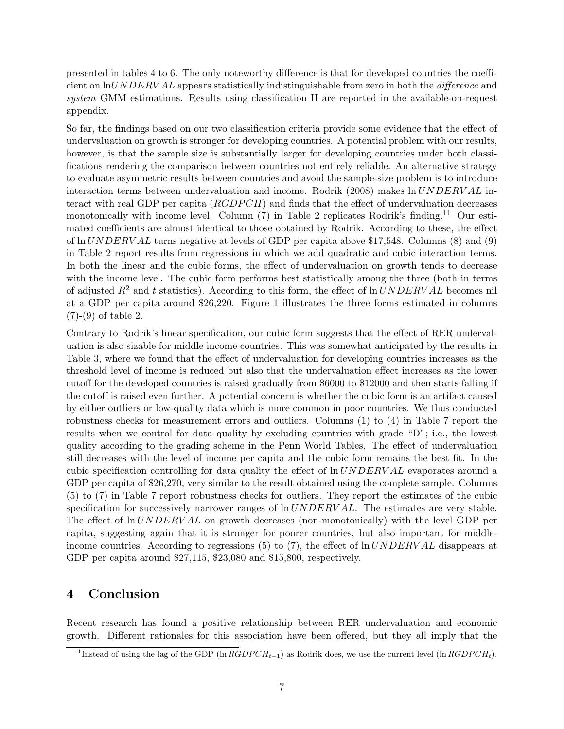presented in tables 4 to 6. The only noteworthy difference is that for developed countries the coefficient on lnUNDERVAL appears statistically indistinguishable from zero in both the *difference* and system GMM estimations. Results using classification II are reported in the available-on-request appendix.

So far, the findings based on our two classification criteria provide some evidence that the effect of undervaluation on growth is stronger for developing countries. A potential problem with our results, however, is that the sample size is substantially larger for developing countries under both classifications rendering the comparison between countries not entirely reliable. An alternative strategy to evaluate asymmetric results between countries and avoid the sample-size problem is to introduce interaction terms between undervaluation and income. Rodrik (2008) makes  $\ln UNDERVAL$  interact with real GDP per capita  $(RGDPCH)$  and finds that the effect of undervaluation decreases monotonically with income level. Column  $(7)$  in Table 2 replicates Rodrik's finding.<sup>11</sup> Our estimated coefficients are almost identical to those obtained by Rodrik. According to these, the effect of ln  $UNDERVAL$  turns negative at levels of GDP per capita above \$17,548. Columns (8) and (9) in Table 2 report results from regressions in which we add quadratic and cubic interaction terms. In both the linear and the cubic forms, the effect of undervaluation on growth tends to decrease with the income level. The cubic form performs best statistically among the three (both in terms of adjusted  $R^2$  and t statistics). According to this form, the effect of  $\ln UNDERVAL$  becomes nil at a GDP per capita around \$26,220. Figure 1 illustrates the three forms estimated in columns (7)-(9) of table 2.

Contrary to Rodrik's linear specification, our cubic form suggests that the effect of RER undervaluation is also sizable for middle income countries. This was somewhat anticipated by the results in Table 3, where we found that the effect of undervaluation for developing countries increases as the threshold level of income is reduced but also that the undervaluation effect increases as the lower cutoff for the developed countries is raised gradually from \$6000 to \$12000 and then starts falling if the cutoff is raised even further. A potential concern is whether the cubic form is an artifact caused by either outliers or low-quality data which is more common in poor countries. We thus conducted robustness checks for measurement errors and outliers. Columns (1) to (4) in Table 7 report the results when we control for data quality by excluding countries with grade "D"; i.e., the lowest quality according to the grading scheme in the Penn World Tables. The effect of undervaluation still decreases with the level of income per capita and the cubic form remains the best fit. In the cubic specification controlling for data quality the effect of  $\ln UNDERVAL}$  evaporates around a GDP per capita of \$26,270, very similar to the result obtained using the complete sample. Columns (5) to (7) in Table 7 report robustness checks for outliers. They report the estimates of the cubic specification for successively narrower ranges of  $\ln UNDERVAL$ . The estimates are very stable. The effect of  $\ln UNDERVAL$  on growth decreases (non-monotonically) with the level GDP per capita, suggesting again that it is stronger for poorer countries, but also important for middleincome countries. According to regressions (5) to (7), the effect of  $\ln UNDERVAL$  disappears at GDP per capita around \$27,115, \$23,080 and \$15,800, respectively.

#### 4 Conclusion

Recent research has found a positive relationship between RER undervaluation and economic growth. Different rationales for this association have been offered, but they all imply that the

<sup>&</sup>lt;sup>11</sup>Instead of using the lag of the GDP (ln  $RGDPCH_{t-1}$ ) as Rodrik does, we use the current level (ln  $RGDPCH_t$ ).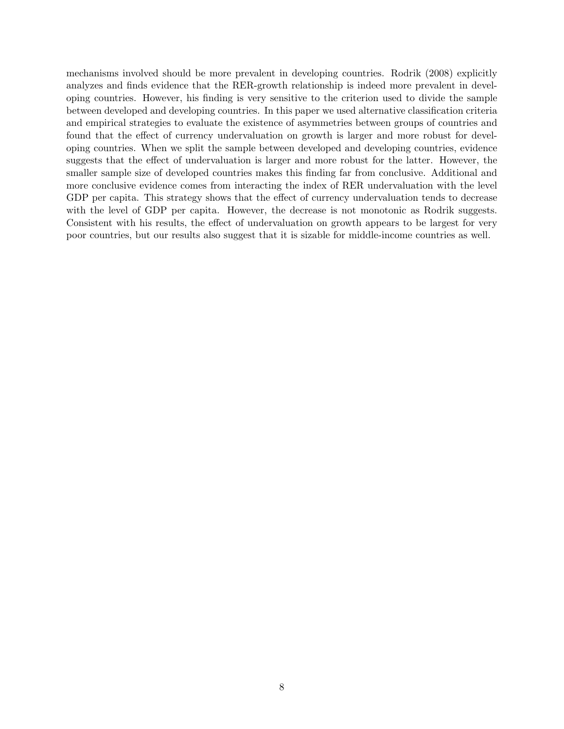mechanisms involved should be more prevalent in developing countries. Rodrik (2008) explicitly analyzes and finds evidence that the RER-growth relationship is indeed more prevalent in developing countries. However, his finding is very sensitive to the criterion used to divide the sample between developed and developing countries. In this paper we used alternative classification criteria and empirical strategies to evaluate the existence of asymmetries between groups of countries and found that the effect of currency undervaluation on growth is larger and more robust for developing countries. When we split the sample between developed and developing countries, evidence suggests that the effect of undervaluation is larger and more robust for the latter. However, the smaller sample size of developed countries makes this finding far from conclusive. Additional and more conclusive evidence comes from interacting the index of RER undervaluation with the level GDP per capita. This strategy shows that the effect of currency undervaluation tends to decrease with the level of GDP per capita. However, the decrease is not monotonic as Rodrik suggests. Consistent with his results, the effect of undervaluation on growth appears to be largest for very poor countries, but our results also suggest that it is sizable for middle-income countries as well.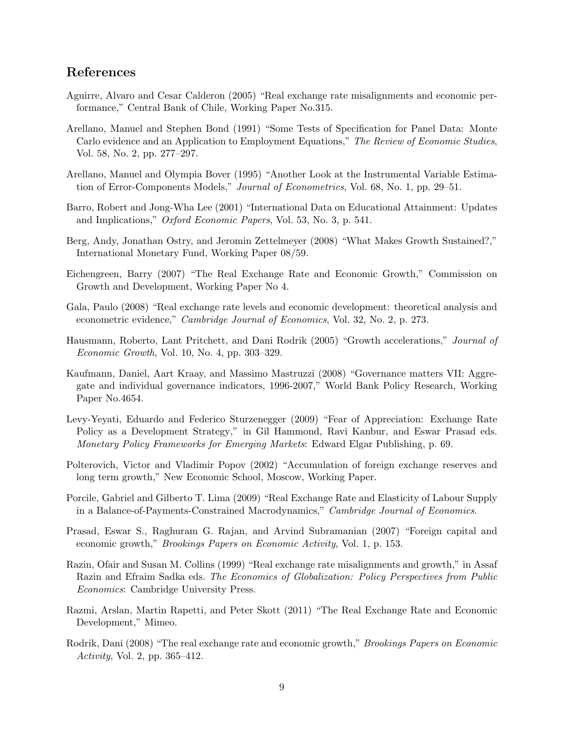#### References

- Aguirre, Alvaro and Cesar Calderon (2005) "Real exchange rate misalignments and economic performance," Central Bank of Chile, Working Paper No.315.
- Arellano, Manuel and Stephen Bond (1991) "Some Tests of Specification for Panel Data: Monte Carlo evidence and an Application to Employment Equations," The Review of Economic Studies, Vol. 58, No. 2, pp. 277–297.
- Arellano, Manuel and Olympia Bover (1995) "Another Look at the Instrumental Variable Estimation of Error-Components Models," Journal of Econometrics, Vol. 68, No. 1, pp. 29–51.
- Barro, Robert and Jong-Wha Lee (2001) "International Data on Educational Attainment: Updates and Implications," Oxford Economic Papers, Vol. 53, No. 3, p. 541.
- Berg, Andy, Jonathan Ostry, and Jeromin Zettelmeyer (2008) "What Makes Growth Sustained?," International Monetary Fund, Working Paper 08/59.
- Eichengreen, Barry (2007) "The Real Exchange Rate and Economic Growth," Commission on Growth and Development, Working Paper No 4.
- Gala, Paulo (2008) "Real exchange rate levels and economic development: theoretical analysis and econometric evidence," Cambridge Journal of Economics, Vol. 32, No. 2, p. 273.
- Hausmann, Roberto, Lant Pritchett, and Dani Rodrik (2005) "Growth accelerations," Journal of Economic Growth, Vol. 10, No. 4, pp. 303–329.
- Kaufmann, Daniel, Aart Kraay, and Massimo Mastruzzi (2008) "Governance matters VII: Aggregate and individual governance indicators, 1996-2007," World Bank Policy Research, Working Paper No.4654.
- Levy-Yeyati, Eduardo and Federico Sturzenegger (2009) "Fear of Appreciation: Exchange Rate Policy as a Development Strategy," in Gil Hammond, Ravi Kanbur, and Eswar Prasad eds. Monetary Policy Frameworks for Emerging Markets: Edward Elgar Publishing, p. 69.
- Polterovich, Victor and Vladimir Popov (2002) "Accumulation of foreign exchange reserves and long term growth," New Economic School, Moscow, Working Paper.
- Porcile, Gabriel and Gilberto T. Lima (2009) "Real Exchange Rate and Elasticity of Labour Supply in a Balance-of-Payments-Constrained Macrodynamics," Cambridge Journal of Economics.
- Prasad, Eswar S., Raghuram G. Rajan, and Arvind Subramanian (2007) "Foreign capital and economic growth," Brookings Papers on Economic Activity, Vol. 1, p. 153.
- Razin, Ofair and Susan M. Collins (1999) "Real exchange rate misalignments and growth," in Assaf Razin and Efraim Sadka eds. The Economics of Globalization: Policy Perspectives from Public Economics: Cambridge University Press.
- Razmi, Arslan, Martin Rapetti, and Peter Skott (2011) "The Real Exchange Rate and Economic Development," Mimeo.
- Rodrik, Dani (2008) "The real exchange rate and economic growth," *Brookings Papers on Economic* Activity, Vol. 2, pp. 365–412.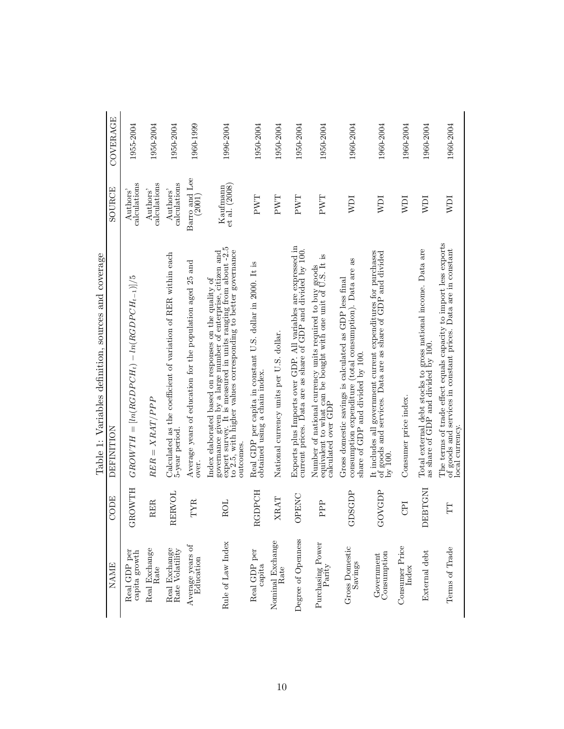| <b>NAME</b>                      | CODE                   | DEFINITION                                                                                                                                                                                                                                                          | SOURCE                      | COVERAGE  |
|----------------------------------|------------------------|---------------------------------------------------------------------------------------------------------------------------------------------------------------------------------------------------------------------------------------------------------------------|-----------------------------|-----------|
| capita growth<br>Real GDP per    | <b>GROWTH</b>          | $GROWTH = [ln(RGDPCH_t) - ln(RGDPCH_{t-1})]/5$                                                                                                                                                                                                                      | $\rm{calculus}$<br>Authors' | 1955-2004 |
| Real Exchange<br>Rate            | <b>RER</b>             | $RER = XRAT/PPP$                                                                                                                                                                                                                                                    | calculations<br>Authors'    | 1950-2004 |
| Real Exchange<br>Rate Volatility | RERVOL                 | Calculated as the coefficient of variation of RER within each 5-year period.                                                                                                                                                                                        | calculations<br>Authors'    | 1950-2004 |
| Average years of<br>Education    | TYR                    | Average years of education for the population aged 25 and<br>over                                                                                                                                                                                                   | Barro and Lee<br>(2001)     | 1960-1999 |
| Rule of Law Index                | <b>ROL</b>             | expert survey. It is measured in units ranging from about -2.5 to 2.5, with higher values corresponding to better governance<br>governance given by a large number of enterprise, citizen and<br>Index elaborated based on responses on the quality of<br>outcomes. | Kaufmann<br>et al. (2008)   | 1996-2004 |
| Real GDP per<br>capita           | <b>RGDPCH</b>          | Real GDP per capita in constant U.S. dollar in 2000. It is<br>obtained using a chain index                                                                                                                                                                          | PWT                         | 1950-2004 |
| Nominal Exchange<br>Rate         | XRAT                   | National currency units per U.S. dollar.                                                                                                                                                                                                                            | PWT                         | 1950-2004 |
| Degree of Openness               | OPENC                  | Exports plus Imports over GDP. All variables are expressed in current prices. Data are as share of GDP and divided by 100.                                                                                                                                          | PWT                         | 1950-2004 |
| Purchasing Power<br>Parity       | PPP                    | Number of national currency units required to buy goods<br>equivalent to what can be bought with one unit of U.S. It is<br>calculated over GDP                                                                                                                      | PWT                         | 1950-2004 |
| Gross Domestic<br>Savings        | DSGDP<br>$\vec{\circ}$ | as<br>consumption expenditure (total consumption). Data are<br>Gross domestic savings is calculated as GDP less final<br>share of GDP and divided by 100.                                                                                                           | NDI                         | 1960-2004 |
| Consumption<br>Government        | GOVGDP                 | It includes all government current expenditures for purchases<br>of goods and services. Data are as share of GDP and divided<br>by 100                                                                                                                              | <b>NDI</b>                  | 1960-2004 |
| Consumer Price<br>Index          | CPI                    | Consumer price index.                                                                                                                                                                                                                                               | NDI                         | 1960-2004 |
| External debt                    | DEBTGNI                | Total external debt stocks to gross national income. Data are<br>as share of GDP and divided by 100.                                                                                                                                                                | <b>NDI</b>                  | 1960-2004 |
| Terms of Trade                   | H                      | The terms of trade effect equals capacity to import less exports<br>of goods and services in constant prices. Data are in constant<br>local currency.                                                                                                               | NDI                         | 1960-2004 |

Table 1: Variables definition, sources and coverage Table 1: Variables definition, sources and coverage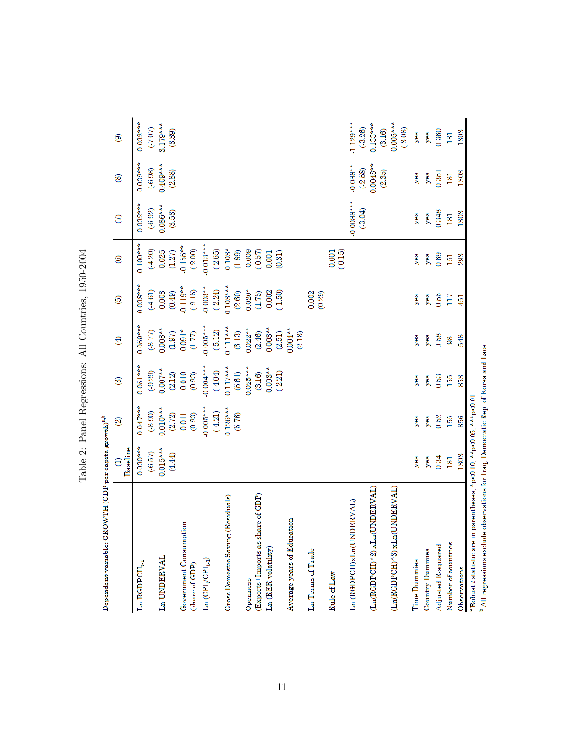| Dependent variable: GROWTH (GDP per capita growth) $^{a,b}$                                 |                         |                       |                         |                         |                       |                       |                          |                         |                         |
|---------------------------------------------------------------------------------------------|-------------------------|-----------------------|-------------------------|-------------------------|-----------------------|-----------------------|--------------------------|-------------------------|-------------------------|
|                                                                                             | Baseline                | ම                     | ම                       | ⊕                       | ම                     | ම                     | $\in$                    | ®                       | ම                       |
| ${\rm La}$ RGDPCH $_{t\text{-}1}$                                                           | $0.030***$<br>$(-6.57)$ | $0.047***$<br>(.8.90) | $0.051***$<br>$(-9.29)$ | $0.059***$<br>(.8.77)   | $0.038***$<br>(4.61)  | $0.100***$<br>(4.20)  | $0.032***$<br>(.6.92)    | $0.032***$<br>$(-6.93)$ | $0.032***$<br>(7.07)    |
| Ln UNDERVAL                                                                                 | $0.015***$<br>(4.44)    | $0.010***$<br>(2.72)  | $0.007**$<br>(2.12)     | $0.008**$<br>(1.97)     | (0.49)<br>0.003       | 0.025<br>(1.27)       | $0.086***$<br>(3.53)     | $0.409***$<br>(2.88)    | 3.179***<br>(3.39)      |
| Government Consumption<br>(share of GDP)                                                    |                         | (0.23)<br>0.011       | 0.010<br>(0.23)         | $0.091*$<br>(1.77)      | $0.119**$<br>(.2.15)  | $-0.155**$<br>(.2.00) |                          |                         |                         |
| $\text{Ln}(\text{CPI}_{t} / \text{CPI}_{t\text{-}1})$                                       |                         | $0.005***$            | $-0.004***$             | $0.005***$              | $-0.003**$            | $-0.013***$           |                          |                         |                         |
|                                                                                             |                         | $0.126***$<br>(4.21)  | $0.117***$<br>(4.04)    | $0.111***$<br>$(-5.12)$ | $0.103***$<br>(.2.24) | $0.103*$<br>(.2.65)   |                          |                         |                         |
| Gross Domestic Saving (Residuals)                                                           |                         | (5.76)                | (5.61)                  | (6.13)                  | (2.60)                | (1.89)                |                          |                         |                         |
| Openness                                                                                    |                         |                       | $0.025***$              | $0.022**$               | $0.020*$              | 0.009                 |                          |                         |                         |
| (Exports+Imports as share of GDP)                                                           |                         |                       | (3.16)                  | (2.46)                  | (1.75)                | $(-0.57)$             |                          |                         |                         |
| Ln (RER volatility)                                                                         |                         |                       | $0.003**$<br>(.2.21)    | $-0.003**$<br>(2.51)    | (0.002)               | 0.001<br>(0.31)       |                          |                         |                         |
| Average years of Education                                                                  |                         |                       |                         | $0.004**$<br>(2.13)     |                       |                       |                          |                         |                         |
| Ln Terms of Trade                                                                           |                         |                       |                         |                         | 0.002<br>(0.29)       |                       |                          |                         |                         |
| Rule of Law                                                                                 |                         |                       |                         |                         |                       | (0.15)                |                          |                         |                         |
| $\label{eq:GDPCH} \textsc{La (RGDPCH)} \textsc{xLa(UNDERVAL)}}$                             |                         |                       |                         |                         |                       |                       | $0.0088***$<br>$(-3.04)$ | $-0.088**$<br>$(-2.58)$ | $1.129***$<br>$(-3.26)$ |
| $\label{eq:3} (\mathrm{La}(\mathrm{RGPCH})^\wedge 2) \;\mathrm{sLn}(\mathrm{UNDERVAL})$     |                         |                       |                         |                         |                       |                       |                          | $0.0048**$<br>(2.35)    | $0.133***$<br>(3.16)    |
| $(Ln(RGDECH)\,^3) \,\, \text{sLn} (UNDERVAL$                                                |                         |                       |                         |                         |                       |                       |                          |                         | $-0.005***$<br>(.3.08)  |
| Time Dummies                                                                                | yes                     | yes                   | yes                     | yes                     | yes                   | yes                   | yes                      | yes                     | yes                     |
| Country Dummies                                                                             | yes                     | yes                   | yes                     | yes                     | yes                   | yes                   | yes                      | yes                     | yes                     |
| Adjusted R-squared                                                                          | 0.34                    | 0.52                  | 0.53                    | 0.58                    | 0.55                  | 0.69                  | 0.348                    | 0.351                   | 0.360                   |
| Number of countries                                                                         | 181                     | 155                   | 155                     | 98                      | 117                   | 151                   | 181                      | 181                     | 181                     |
| Observations                                                                                | 1303                    | 856                   | 853                     | 548                     | 451                   | 293                   | 1303                     | 1303                    | 1303                    |
| parentheses, *p<0.10, **p<0.05, ***p<0.01<br>$^{\rm a}$ Robust $t$ statistic are in         |                         |                       |                         |                         |                       |                       |                          |                         |                         |
| $^{\rm b}$ All regressions exclude observations for Iraq, Democratic Rep. of Korea and Laos |                         |                       |                         |                         |                       |                       |                          |                         |                         |

Table 2: Panel Regressions: All Countries, 1950-2004 Table 2: Panel Regressions: All Countries, 1950-2004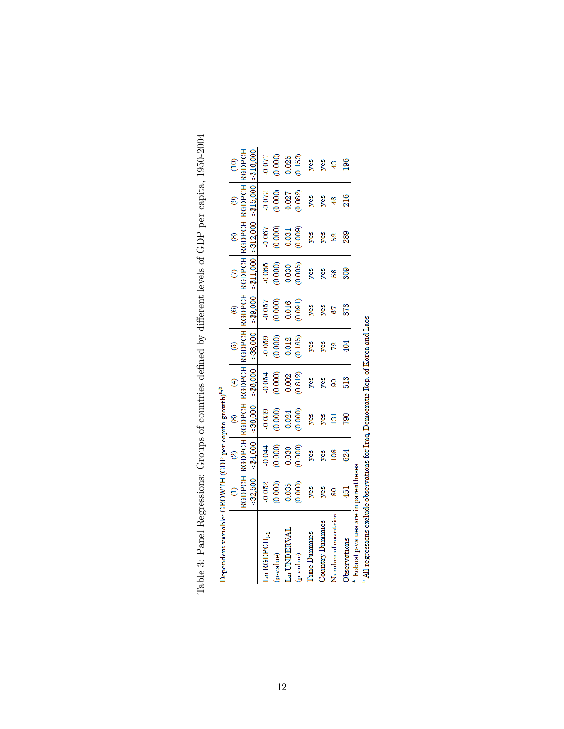| Dependent variable: GROWTH (GDP per capita growth) $^{a,b}$ |                 |                             |           |             |               |                   |               |            |                |                                                         |
|-------------------------------------------------------------|-----------------|-----------------------------|-----------|-------------|---------------|-------------------|---------------|------------|----------------|---------------------------------------------------------|
|                                                             | $\widehat{c}$   | $\circledcirc$              | ම්        | $\bigoplus$ | ම             | $\widehat{\circ}$ |               | <b>@</b>   | $\circledcirc$ | $\widehat{c}$                                           |
|                                                             |                 | RGDPCH RGDPCH RGDPCH RGDPCH |           |             | <b>RGDPCH</b> | RGDPCH            | RGDPCH RGDPCH |            | RGDPCH         | <b>URGDPCH</b>                                          |
|                                                             | < 2,500         | $<$ \$4,000                 | < \$6,000 | > \$6,000   | > 88,000      | > \$9,000         | > \$11,000    | > \$12,000 | > 15,000       | $-16,000$                                               |
| Ln RGDPCH <sub>1-1</sub>                                    | $-0.052$        | $-0.044$                    | $-0.039$  | $-0.054$    | $-0.059$      | 0.057             | $-0.065$      | $-0.067$   | $-0.073$       | 0.077                                                   |
| p-value)                                                    | (0.000)         | (0.000)                     | (0.000)   | (0.000)     | (0.000)       | (0.000)           | 0.000         | (0.000)    | (0.000)        | $\begin{array}{c} (0.000) \ 0.025 \ 0.153) \end{array}$ |
| Ln UNDERVAL                                                 | 0.035           | 0.030                       | 0.024     | 0.002       | 0.012         | 0.016             | 0.030         | 0.031      | 0.027          |                                                         |
| (p-value)                                                   | (0.000)         | (0.000)                     | (0.000)   | (0.812)     | (0.185)       | (0.091)           | (0.005)       | (0.009)    | (0.082)        |                                                         |
| <b>Time Dummies</b>                                         | yes             | yes                         | yes       | yes         | yes           | yes               | yes           | yes        | yes            | yes                                                     |
| Country Dummies                                             | yes             | yes                         | yes       | yes         | yes           | yes               | yes           | yes        | yes            | yes                                                     |
| Number of countries                                         | 80              | 108                         | 131       | 8           | 72            | 67                | 56            | 52         |                | 43                                                      |
| <b>Jbservations</b>                                         | $\frac{451}{2}$ | 624                         | 790       | 513         | 404           | 373               | 309           | 289        | 216            | 196                                                     |

Table 3: Panel Regressions: Groups of countries defined by different levels of GDP per capita, 1950-2004 Table 3: Panel Regressions: Groups of countries defined by different levels of GDP per capita, 1950-2004

 $\begin{tabular}{c|c|c} Observations & 451 & 452 & 624 & 790 & 513 & 404 & 3 \\ \hline * Robust p-values are in parentheses & 304 & 324 & 324 & 324 \\ * All regressions exclude observations for Iraq, Democratic Rep. of Korea and Laos & 314 & 324 & 324 & 324 \\ \hline \end{tabular}$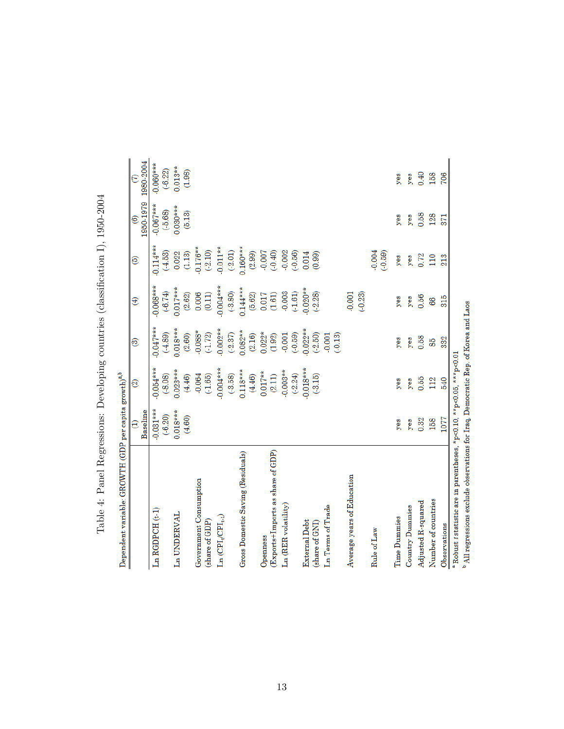| Dependent variable: GROWTH (GDP per capita growth) $^{a,b}$                                                       |                       |                         |                        |                       |                         |                         |                      |
|-------------------------------------------------------------------------------------------------------------------|-----------------------|-------------------------|------------------------|-----------------------|-------------------------|-------------------------|----------------------|
|                                                                                                                   | Baseline<br>€         | ම                       | ම                      | $\oplus$              | ම                       | 1950-1979<br>ම          | 1980-2004<br>S       |
| $Ln$ $RGDPCH$ $(t, 1)$                                                                                            | $-0.031***$<br>(6.20) | $0.054***$<br>(.8.08)   | $0.047***$<br>(.4.89)  | $0.068***$<br>(6.74)  | $0.114***$<br>$(-4.53)$ | $0.067***$<br>$(-5.68)$ | $0.060***$<br>(6.22) |
| Ln UNDERVAL                                                                                                       | $0.018***$<br>(4.60)  | $0.023***$<br>(4.46)    | $0.018***$<br>(2.60)   | $0.017***$<br>(2.62)  | (1.13)<br>0.022         | $0.030***$<br>(5.13)    | $0.013**$<br>(1.98)  |
| Government Consumption<br>(share of GDP)                                                                          |                       | $-0.064$<br>(.1.65)     | $0.088*$<br>$(-1.72)$  | 0.006<br>(0.11)       | $0.176**$<br>(.2.10)    |                         |                      |
| $\operatorname{Ln}\left(\operatorname{CPI}_{\mathfrak{l}}(\operatorname{CPI}_{\mathfrak{l}_1\mathfrak{l}}\right)$ |                       | $0.004***$<br>$(-3.58)$ | $0.002**$<br>$(-2.37)$ | $0.004***$<br>(.3.80) | $0.011**$<br>$(-2.01)$  |                         |                      |
| Gross Domestic Saving (Residuals)                                                                                 |                       | $0.118***$<br>(4.46)    | $0.082**$<br>(2.16)    | $0.144***$<br>(5.62)  | $0.160***$<br>(2.99)    |                         |                      |
| Openness                                                                                                          |                       | $0.017**$               |                        | 0.017                 | $-0.007$                |                         |                      |
| (Exports+Imports as share of GDP)                                                                                 |                       | (2.11)                  | $0.022*$<br>(1.92)     | $(1.61)$              | (0.40)                  |                         |                      |
| Ln (RER volatility)                                                                                               |                       | $0.003**$<br>(.2.24)    | $(-0.59)$<br>$-0.001$  | $-0.003$<br>$(-1.61)$ | $-0.002$<br>(.0.56)     |                         |                      |
| External Debt                                                                                                     |                       | $0.018***$              | $0.022**$              | $0.020**$             | 0.014                   |                         |                      |
| (share of GNI)                                                                                                    |                       | $(-3.15)$               | (.2.50)                | $(-2.28)$             | (0.99)                  |                         |                      |
| Ln Terms of Trade                                                                                                 |                       |                         | $(-0.13)$<br>0.001     |                       |                         |                         |                      |
| Average years of Education                                                                                        |                       |                         |                        | 0.001<br>$(-0.23)$    |                         |                         |                      |
| Rule of Law                                                                                                       |                       |                         |                        |                       | $-0.004$<br>$(-0.59)$   |                         |                      |
| <b>Time Dummies</b>                                                                                               | yes                   | yes                     | yes                    | yes                   | yes                     | yes                     | yes                  |
| Country Dummies                                                                                                   | yes                   | yes                     | yes                    | yes                   | yes                     | yes                     | yes                  |
| Adjusted R-squared                                                                                                | 0.32                  | 0.55                    | 0.58                   | 0.56                  | 0.72                    | 0.58                    | 0.40                 |
| Number of countries                                                                                               | 158                   | 112                     | 85                     | 86                    | 110                     | 128                     | 158                  |
| Observations                                                                                                      | 1077                  | 540                     | 332                    | 315                   | 213                     | 371                     | 706                  |
| $^{\rm a}$ Robust $t$ statistic are in parentheses, *p<0.10, **p<0.05, ***p<0.01                                  |                       |                         |                        |                       |                         |                         |                      |

Table 4: Panel Regressions: Developing countries (classification I), 1950-2004 Table 4: Panel Regressions: Developing countries (classification I), 1950-2004

 $^{\rm b}$  All regressions exclude observations for Iraq, Democratic Rep. of Korea and Laos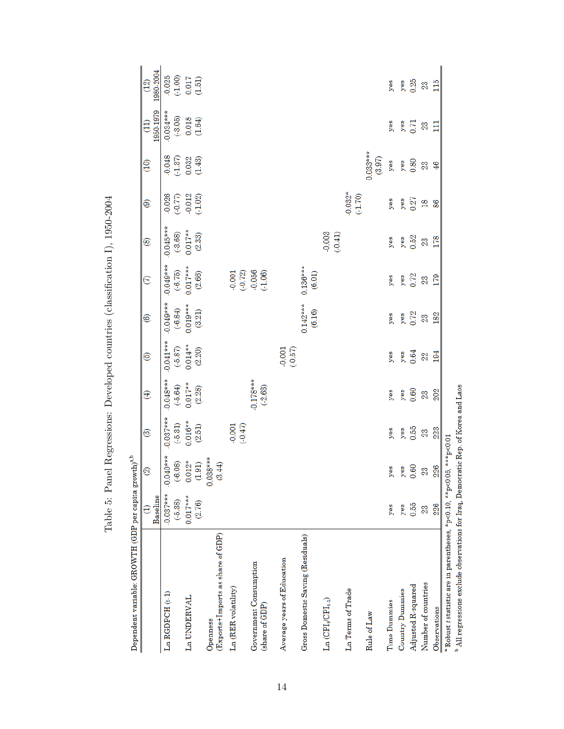| Dependent variable: GROWTH (GDP per capita growth) $^{a,b}$                             |                          |                          |                         |                          |                       |                        |                                                                   |                                   |                     |                                                                   |                             |                      |
|-----------------------------------------------------------------------------------------|--------------------------|--------------------------|-------------------------|--------------------------|-----------------------|------------------------|-------------------------------------------------------------------|-----------------------------------|---------------------|-------------------------------------------------------------------|-----------------------------|----------------------|
|                                                                                         | Baseline                 | $\widehat{\infty}$       | ම                       | ⊕                        | ම                     | ©                      | $\in$                                                             | ම                                 | ම                   | $\frac{1}{2}$                                                     | 1950-1979<br>$\overline{1}$ | 1980-2004<br>(12)    |
| $Ln$ RGDPCH $(t-1)$                                                                     | $-0.037***$<br>$(-5.38)$ | $-0.040***$<br>$(-6.08)$ | $0.037***$<br>$(-5.31)$ | $-0.048***$<br>$(-5.64)$ | $-0.041***$<br>(5.87) | $-0.049***$<br>(.6.84) | $-0.049***$<br>$(-6.75)$                                          | $-0.045***$<br>$(-3.68)$          | $-0.026$<br>(0.77)  |                                                                   | $-0.034***$<br>$(-3.05)$    | $0.025$<br>$(-1.00)$ |
| Ln UNDERVAL                                                                             | $0.017***$<br>(2.76)     | $0.012*$<br>(1.91)       | $0.016**$<br>(2.51)     | $0.017**$<br>(2.28)      | $0.014***$<br>(2.20)  | $0.019***$<br>(3.21)   | $0.017***$<br>(2.66)                                              | $0.017**$<br>$\left( 2.33\right)$ | $-0.012$<br>(.1.02) | $\begin{array}{c} 0.048 \\ (1.37) \\ 0.032 \\ (1.43) \end{array}$ | $0.018$<br>(1.64)           | (1.51)               |
| (Exports+Imports as share of GDP)<br>Openness                                           |                          | $0.038***$<br>(3.44)     |                         |                          |                       |                        |                                                                   |                                   |                     |                                                                   |                             |                      |
| Ln (RER volatility)                                                                     |                          |                          | (0.001)                 |                          |                       |                        |                                                                   |                                   |                     |                                                                   |                             |                      |
| Government Consumption<br>(share of GDP)                                                |                          |                          |                         | $-0.178***$<br>$(-2.63)$ |                       |                        | $\begin{array}{c} 0.001 \\ (0.72) \\ 0.056 \\ (1.06) \end{array}$ |                                   |                     |                                                                   |                             |                      |
| Average years of Education                                                              |                          |                          |                         |                          | (0.000)               |                        |                                                                   |                                   |                     |                                                                   |                             |                      |
| Gross Domestic Saving (Residuals)                                                       |                          |                          |                         |                          |                       | $0.142***$<br>(6.16)   | $0.136***$<br>(6.01)                                              |                                   |                     |                                                                   |                             |                      |
| $\operatorname{Ln}\left(\operatorname{CPI}_{t}(CH_{t\text{-}1})\right)$                 |                          |                          |                         |                          |                       |                        |                                                                   | (1500)                            |                     |                                                                   |                             |                      |
| Ln Terms of Trade                                                                       |                          |                          |                         |                          |                       |                        |                                                                   |                                   | $-0.032*$           |                                                                   |                             |                      |
| Rule of Law                                                                             |                          |                          |                         |                          |                       |                        |                                                                   |                                   |                     | $0.033***$<br>(3.97)                                              |                             |                      |
| <b>Time Dummies</b>                                                                     | yes                      | yes                      | yes                     | yes                      | yes                   | yes                    | yes                                                               | yes                               | yes                 | yes                                                               | yes                         | yes                  |
| <b>Country Dummies</b>                                                                  | yes                      | yes                      | yes                     | yes                      | yes                   | yes                    | yes                                                               | yes                               | yes                 | yes                                                               | yes                         | yes                  |
| Adjusted R-squared                                                                      | 0.55                     | 0.60                     | 0.55                    | 0.60                     | 0.64                  | 0.72                   | 0.72                                                              | 0.52                              | 0.27                | 0.80                                                              | 0.71                        | 0.25                 |
| Number of countries                                                                     | 23                       | 23                       | 23                      | 23                       | 22                    | 23                     | 23                                                                | 23                                | $\overline{18}$     | 23                                                                | 23                          | 23                   |
| Observations                                                                            | 226                      | 226                      | 223                     | 202                      | 194                   | 182                    | 179                                                               | 178                               | 86                  | $\frac{46}{5}$                                                    | $\Xi$                       | 115                  |
| <sup>a</sup> Robust <i>t</i> statistic are in parentheses, *p<0.10, **p<0.05, ***p<0.01 |                          |                          |                         |                          |                       |                        |                                                                   |                                   |                     |                                                                   |                             |                      |

Table 5: Panel Regressions: Developed countries (classification I), 1950-2004 Table 5: Panel Regressions: Developed countries (classification I), 1950-2004

 $^{\rm b}$  All regressions exclude observations for Iraq, Democratic Rep. of Korea and Laos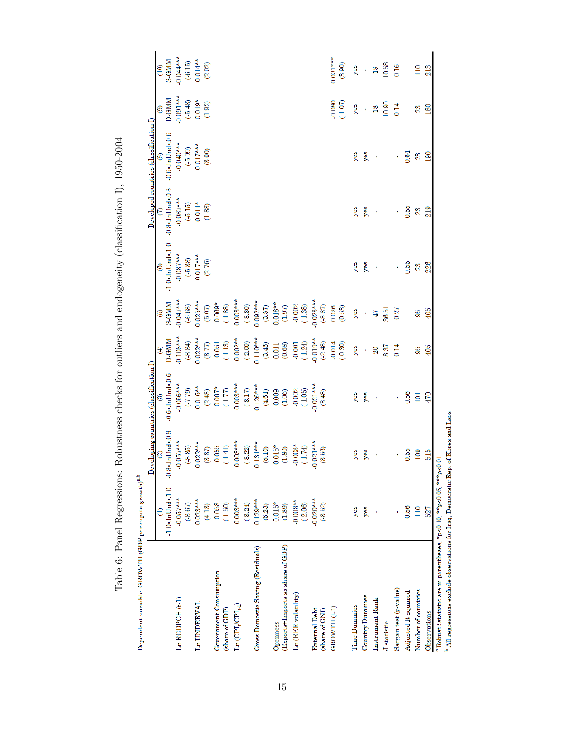| Dependent variable: GROWTH (GDP per capita growth) $^{a,b}$                             |                              |                              |                                                          |                       |                                                     |                           |                          |                                                    |                       |                                |
|-----------------------------------------------------------------------------------------|------------------------------|------------------------------|----------------------------------------------------------|-----------------------|-----------------------------------------------------|---------------------------|--------------------------|----------------------------------------------------|-----------------------|--------------------------------|
|                                                                                         |                              |                              | Developing countries (classification I)                  |                       |                                                     |                           |                          | $\rm Developed$ countries (classification $\rm I)$ |                       |                                |
|                                                                                         | $-1.0$<br>$\leq$ hUnd< $1.0$ | $-0.8 < h$ Und< $0.8$        | $0.6$ < $\text{ln}$ Und< $0.6$                           | D-GMM<br>$\oplus$     | <b>S-GMM</b><br>ම                                   | $-1.0$<br>clnUnd<1.0<br>ම | $-0.8 < h$ Und< $0.8$    | $-0.6$<br>$\text{ln}$ Und<0.6<br>@                 | <b>D-GMM</b><br>ම     | <b>S-GMM</b><br>$\overline{c}$ |
| $Ln$ $RGDPCH$ $(t-1)$                                                                   | $-0.057***$<br>(.8.67)       | $0.057***$<br>$(-8.35)$<br>9 | $0.056***$<br>(61.7)                                     | $0.108***$<br>(.8.84) | $0.047***$<br>$(-6.68)$                             | $-0.037***$<br>$(-5.38)$  | $-0.037***$<br>$(-5.15)$ | $-0.040***$<br>(.5.99)                             | $-0.091***$<br>(5.48) | $0.044***$<br>$(-6.15)$        |
| Ln UNDERVAL                                                                             | $0.023***$                   | $0.022***$                   | $0.016**$                                                | $0.022***$            | $0.025***$                                          | $0.017***$                | $0.011*$                 | $0.017***$                                         | $0.019*$              | $0.014***$                     |
|                                                                                         | (4.13)                       | (3.37)                       | (2.43)                                                   | (3.77)                | (5.07)                                              | (2.76)                    | (1.88)                   | (3.00)                                             | (1.92)                | (2.02)                         |
| Government Consumption                                                                  | $-0.058$                     | $-0.055$                     | $-0.067*$                                                | $-0.051$<br>$(-1.13)$ | $-0.069*$                                           |                           |                          |                                                    |                       |                                |
| (share of GDP)                                                                          | (.1.50)                      | (1.41)                       |                                                          |                       | (1.88)                                              |                           |                          |                                                    |                       |                                |
| $\rm Ln \left( CPI_t CPI_{t \cdot 1} \right)$                                           | $-0.003***$<br>(.3.24)       | $0.003***$<br>(.3.22)<br>Ģ   | $0.003***$<br>$(\textcolor{red}{\textbf{-3.17}})$        | $-0.002**$<br>(2.09)  | $0.003***$<br>(.3.30)                               |                           |                          |                                                    |                       |                                |
| Gross Domestic Saving (Residuals)                                                       | $0.129***$                   | $0.131***$                   | $0.126***$                                               | $0.110***$            | $0.092***$                                          |                           |                          |                                                    |                       |                                |
|                                                                                         | (5.23)                       | (5.10)                       |                                                          | (3.46)                | $(3.87)$                                            |                           |                          |                                                    |                       |                                |
| Openness                                                                                | $0.015*$                     | $0.015*$                     |                                                          | 0.011                 |                                                     |                           |                          |                                                    |                       |                                |
| (Exports+Imports as share of GDP)                                                       | (1.89)                       | (1.80)                       | $\begin{array}{c} (4.61) \\ 0.009 \\ (1.06) \end{array}$ | (0.68)                | $\begin{array}{c} 0.018^{**} \\ (1.97) \end{array}$ |                           |                          |                                                    |                       |                                |
| Ln (RER volatility)                                                                     | $-0.003**$                   | $-0.003*$                    | $-0.002$<br>$(1.05)$                                     | $-0.001$              | $\frac{0.002}{(1.38)}$                              |                           |                          |                                                    |                       |                                |
|                                                                                         | (.2.06)                      | (1.74)                       |                                                          | (1.24)                |                                                     |                           |                          |                                                    |                       |                                |
| <b>External Debt</b>                                                                    | $0.020***$                   | $-0.021***$                  | $0.021***$                                               | $0.019**$             | $0.023***$                                          |                           |                          |                                                    |                       |                                |
| (share of GNI)                                                                          | $(-3.52)$                    | (3.56)                       | (3.48)                                                   | (.2.48)               | (.3.87)                                             |                           |                          |                                                    |                       |                                |
| GROWTH (t-1)                                                                            |                              |                              |                                                          | 0.014                 | $0.026$<br>$(0.53)$                                 |                           |                          |                                                    | 0.080                 | $0.031***$                     |
|                                                                                         |                              |                              |                                                          | (.0.30)               |                                                     |                           |                          |                                                    | (1.07)                | (3.90)                         |
| <b>Time Dummies</b>                                                                     | yes                          | yes                          | yes                                                      | yes                   | yes                                                 | yes                       | yes                      | yes                                                | yes                   | yes                            |
| <b>Country Dummies</b>                                                                  | yes                          | yes                          | yes                                                      | ł                     |                                                     | yes                       | yes                      | yes                                                | $\bar{\phantom{a}}$   | ¥                              |
| Instrument Rank                                                                         |                              |                              |                                                          | 20                    | 47                                                  | ł                         | ï                        | ï                                                  | $\frac{8}{16}$        | $\frac{8}{18}$                 |
| J-statistic                                                                             |                              |                              | ï                                                        | 8.37                  | 36.51                                               | ¥                         | ł                        | ¥                                                  | 10.90                 | 10.58                          |
| Sargan test (p-value)                                                                   |                              |                              |                                                          | 0.14                  | 0.27                                                |                           |                          |                                                    | 0.14                  | 0.16                           |
| Adjusted R-squared                                                                      | 0.56                         | 0.55                         | 0.56                                                     | Ŷ,                    | ï                                                   | 0.55                      | 0.55                     | 0.64                                               | Ŷ,                    | í,                             |
| Number of countries                                                                     | 110                          | 109                          | 101                                                      | 95                    | 95                                                  | 23                        | 23                       | 23                                                 | 23                    | 110                            |
| Observations                                                                            | 527                          | $rac{515}{15}$               | 470                                                      | 405                   | 405                                                 | 226                       | 219                      | 190                                                | 180                   | 213                            |
| <sup>a</sup> Robust <i>t</i> statistic are in parentheses. *p<0.10. **p<0.05. ***p<0.01 |                              |                              |                                                          |                       |                                                     |                           |                          |                                                    |                       |                                |

Table 6: Panel Regressions: Robustness checks for outliers and endogeneity (classification I), 1950-2004 Table 6: Panel Regressions: Robustness checks for outliers and endogeneity (classification I), 1950-2004

x<br> $\sum_{i=1}^{n}$  and  $\sum_{i=1}^{n}$  are settled observations for Iraq, Democratic Rep. of Korea and Laos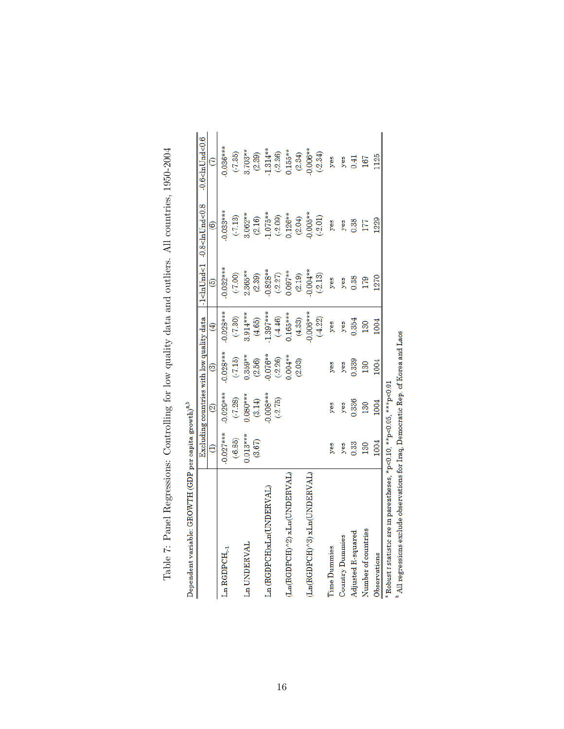| Dependent variable: GROWTH (GDP per capita growth) <sup>a,b</sup>                             |            |                                           |            |            |            |                                                                                                                           |                                |
|-----------------------------------------------------------------------------------------------|------------|-------------------------------------------|------------|------------|------------|---------------------------------------------------------------------------------------------------------------------------|--------------------------------|
|                                                                                               |            | Excluding countries with low quality data |            |            |            | -1 <lnund<1 -0.8<lnund<0.8<="" td=""><td><math>-0.6</math>&lt;<math>{\rm dnUnd}</math>&lt;<math>0.6</math></td></lnund<1> | $-0.6$ < ${\rm dnUnd}$ < $0.6$ |
|                                                                                               |            | S                                         | ම          | €          | ම          | $\widehat{\mathbf{e}}$                                                                                                    |                                |
| $\rm Ln$ RGDPCH <sub>t-1</sub>                                                                | $0.027***$ | $0.029***$                                | $0.028***$ | $0.028***$ | $0.032***$ | $0.033***$                                                                                                                | $0.036***$                     |
|                                                                                               | $(-6.85)$  | $(-7.28)$                                 | $(-7.15)$  | (.7.30)    | $(-7.00)$  | $(-7.13)$                                                                                                                 | $(-7.35)$                      |
| Ln UNDERVAL                                                                                   | $0.013***$ | $0.080***$                                | $0.359**$  | $3.914***$ | 1.365**    | 3.062**                                                                                                                   | $3.703**$                      |
|                                                                                               | (3.67)     | (3.14)                                    | (2.56)     | (4.65)     | (2.39)     | (2.16)                                                                                                                    | (2.39)                         |
| Ln (RGDPCH)xLn(UNDERVAL)                                                                      |            | $0.008***$                                | $0.076**$  | $1.397***$ | $0.828**$  | $1.075**$                                                                                                                 | 1.314**                        |
|                                                                                               |            | $(-2.75)$                                 | (.2.26)    | $(-4.46)$  | $(-2.27)$  | (.2.09)                                                                                                                   | $(-2.36)$                      |
| (Ln(RGDPCH)^2) xLn(UNDERVAL)                                                                  |            |                                           | $0.004**$  | $105***$   | $0.097**$  | $0.126**$                                                                                                                 | $0.155**$                      |
|                                                                                               |            |                                           | (2.03)     | (4.33)     | (2.19)     | (2.04)                                                                                                                    | (2.34)                         |
| (Ln(RGDPCH)^3) xLn(UNDERVAL                                                                   |            |                                           |            | $0.006***$ | $0.004**$  | $0.005**$                                                                                                                 | $0.006**$                      |
|                                                                                               |            |                                           |            | (4.22)     | $(-2.13)$  | (2.01)                                                                                                                    | $(-2.34)$                      |
| <b>Time Dummies</b>                                                                           | yes        | yes                                       | yes        | yes        | yes        | yes                                                                                                                       | yes                            |
| Country Dummies                                                                               | yes        | yes                                       | yes        | yes        | yes        | yes                                                                                                                       | yes                            |
| Adjusted R-squared                                                                            | 0.33       | 0.336                                     | 0.339      | 0.354      | 0.38       | 0.38                                                                                                                      | 0.41                           |
| Number of countries                                                                           | 130        | 130                                       | 130        | 130        | 179        | 177                                                                                                                       | 167                            |
| Observations                                                                                  | 1004       | 1004                                      | 1004       | 1004       | 1270       | 1229                                                                                                                      | 1125                           |
| $^{\circ}$ Robust $t$ statistic are in parentheses, *p<0.10, **p<0.05, ***p<0.01              |            |                                           |            |            |            |                                                                                                                           |                                |
| <sup>b</sup> All regressions exclude observations for Iraq, Democratic Rep. of Korea and Laos |            |                                           |            |            |            |                                                                                                                           |                                |

Table 7: Panel Regressions: Controlling for low quality data and outliers. All countries, 1950-2004 Table 7: Panel Regressions: Controlling for low quality data and outliers. All countries, 1950-2004